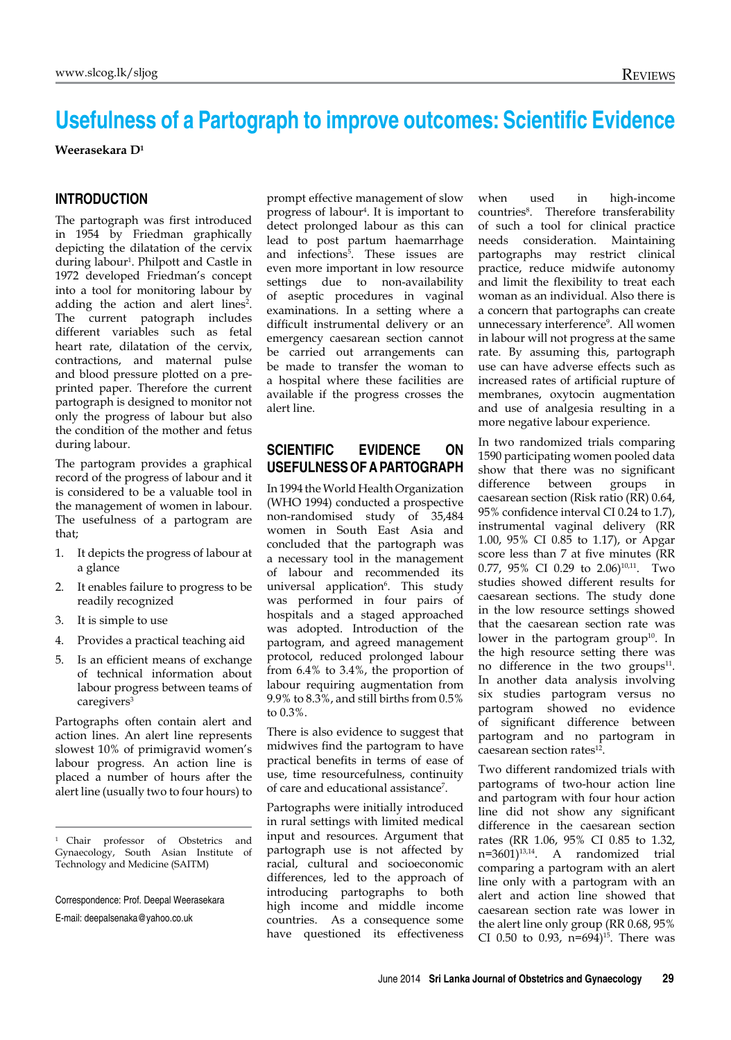# **Usefulness of a Partograph to improve outcomes: Scientific Evidence**

**Weerasekara D1**

#### **Introduction**

The partograph was first introduced in 1954 by Friedman graphically depicting the dilatation of the cervix during labour<sup>1</sup>. Philpott and Castle in 1972 developed Friedman's concept into a tool for monitoring labour by adding the action and alert lines<sup>2</sup>. The current patograph includes different variables such as fetal heart rate, dilatation of the cervix, contractions, and maternal pulse and blood pressure plotted on a preprinted paper. Therefore the current partograph is designed to monitor not only the progress of labour but also the condition of the mother and fetus during labour.

The partogram provides a graphical record of the progress of labour and it is considered to be a valuable tool in the management of women in labour. The usefulness of a partogram are that;

- 1. It depicts the progress of labour at a glance
- 2. It enables failure to progress to be readily recognized
- 3. It is simple to use
- 4. Provides a practical teaching aid
- 5. Is an efficient means of exchange of technical information about labour progress between teams of caregivers<sup>3</sup>

Partographs often contain alert and action lines. An alert line represents slowest 10% of primigravid women's labour progress. An action line is placed a number of hours after the alert line (usually two to four hours) to

E-mail: deepalsenaka@yahoo.co.uk

prompt effective management of slow progress of labour<sup>4</sup> . It is important to detect prolonged labour as this can lead to post partum haemarrhage and infections<sup>5</sup>. These issues are even more important in low resource settings due to non-availability of aseptic procedures in vaginal examinations. In a setting where a difficult instrumental delivery or an emergency caesarean section cannot be carried out arrangements can be made to transfer the woman to a hospital where these facilities are available if the progress crosses the alert line.

#### **Scientific evidence on usefulnessofapartograph**

In 1994 the World Health Organization (WHO 1994) conducted a prospective non-randomised study of 35,484 women in South East Asia and concluded that the partograph was a necessary tool in the management of labour and recommended its universal application<sup>6</sup>. This study was performed in four pairs of hospitals and a staged approached was adopted. Introduction of the partogram, and agreed management protocol, reduced prolonged labour from 6.4% to 3.4%, the proportion of labour requiring augmentation from 9.9% to 8.3%, and still births from 0.5% to 0.3%.

There is also evidence to suggest that midwives find the partogram to have practical benefits in terms of ease of use, time resourcefulness, continuity of care and educational assistance<sup>7</sup> .

Partographs were initially introduced in rural settings with limited medical input and resources. Argument that partograph use is not affected by racial, cultural and socioeconomic differences, led to the approach of introducing partographs to both high income and middle income countries. As a consequence some have questioned its effectiveness when used in high-income countries<sup>8</sup>. Therefore transferability of such a tool for clinical practice needs consideration. Maintaining partographs may restrict clinical practice, reduce midwife autonomy and limit the flexibility to treat each woman as an individual. Also there is a concern that partographs can create unnecessary interference<sup>9</sup>. All women in labour will not progress at the same rate. By assuming this, partograph use can have adverse effects such as increased rates of artificial rupture of membranes, oxytocin augmentation and use of analgesia resulting in a more negative labour experience.

In two randomized trials comparing 1590 participating women pooled data show that there was no significant difference between groups in caesarean section (Risk ratio (RR) 0.64, 95% confidence interval CI 0.24 to 1.7), instrumental vaginal delivery (RR 1.00, 95% CI 0.85 to 1.17), or Apgar score less than 7 at five minutes (RR 0.77, 95% CI 0.29 to 2.06)<sup>10,11</sup>. Two studies showed different results for caesarean sections. The study done in the low resource settings showed that the caesarean section rate was lower in the partogram group<sup>10</sup>. In the high resource setting there was no difference in the two groups $11$ . In another data analysis involving six studies partogram versus no partogram showed no evidence of significant difference between partogram and no partogram in caesarean section rates<sup>12</sup>.

Two different randomized trials with partograms of two-hour action line and partogram with four hour action line did not show any significant difference in the caesarean section rates (RR 1.06, 95% CI 0.85 to 1.32, n=3601)13,14. A randomized trial comparing a partogram with an alert line only with a partogram with an alert and action line showed that caesarean section rate was lower in the alert line only group (RR 0.68, 95% CI 0.50 to 0.93,  $n=694$ <sup>15</sup>. There was

<sup>&</sup>lt;sup>1</sup> Chair professor of Obstetrics and Gynaecology, South Asian Institute of Technology and Medicine (SAITM)

Correspondence: Prof. Deepal Weerasekara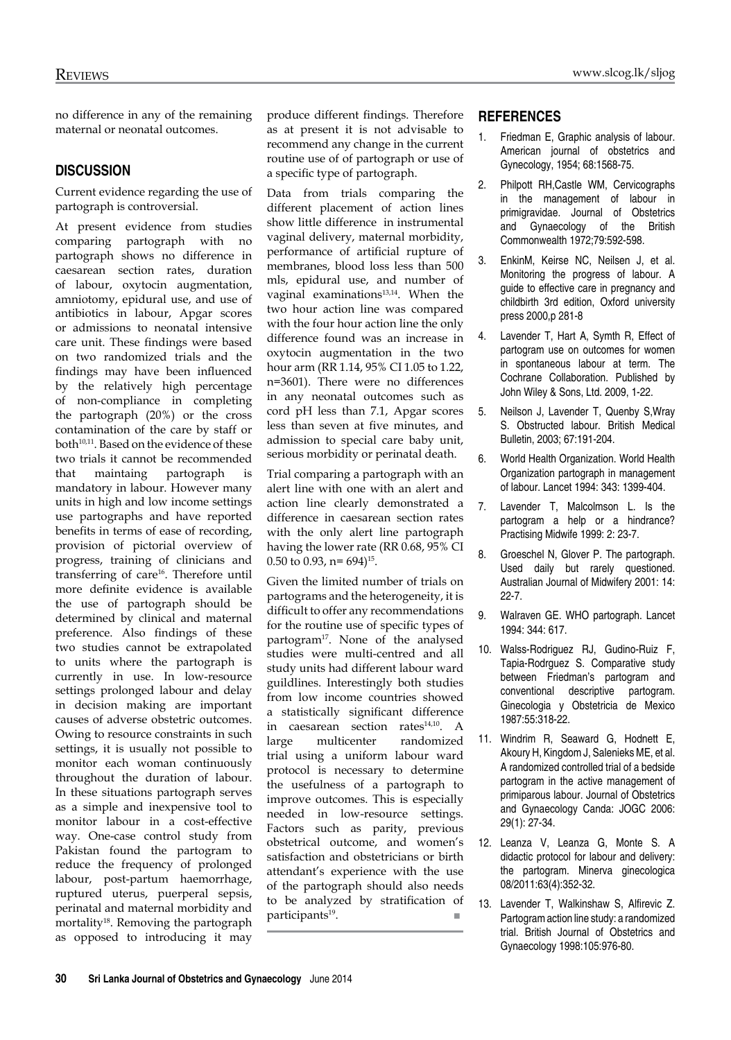no difference in any of the remaining maternal or neonatal outcomes.

## **Discussion**

Current evidence regarding the use of partograph is controversial.

At present evidence from studies comparing partograph with no partograph shows no difference in caesarean section rates, duration of labour, oxytocin augmentation, amniotomy, epidural use, and use of antibiotics in labour, Apgar scores or admissions to neonatal intensive care unit. These findings were based on two randomized trials and the findings may have been influenced by the relatively high percentage of non-compliance in completing the partograph (20%) or the cross contamination of the care by staff or both<sup>10,11</sup>. Based on the evidence of these two trials it cannot be recommended that maintaing partograph is mandatory in labour. However many units in high and low income settings use partographs and have reported benefits in terms of ease of recording, provision of pictorial overview of progress, training of clinicians and transferring of care<sup>16</sup>. Therefore until more definite evidence is available the use of partograph should be determined by clinical and maternal preference. Also findings of these two studies cannot be extrapolated to units where the partograph is currently in use. In low-resource settings prolonged labour and delay in decision making are important causes of adverse obstetric outcomes. Owing to resource constraints in such settings, it is usually not possible to monitor each woman continuously throughout the duration of labour. In these situations partograph serves as a simple and inexpensive tool to monitor labour in a cost-effective way. One-case control study from Pakistan found the partogram to reduce the frequency of prolonged labour, post-partum haemorrhage, ruptured uterus, puerperal sepsis, perinatal and maternal morbidity and mortality<sup>18</sup>. Removing the partograph as opposed to introducing it may

produce different findings. Therefore as at present it is not advisable to recommend any change in the current routine use of of partograph or use of a specific type of partograph.

Data from trials comparing the different placement of action lines show little difference in instrumental vaginal delivery, maternal morbidity, performance of artificial rupture of membranes, blood loss less than 500 mls, epidural use, and number of vaginal examinations<sup>13,14</sup>. When the two hour action line was compared with the four hour action line the only difference found was an increase in oxytocin augmentation in the two hour arm (RR 1.14, 95% CI 1.05 to 1.22, n=3601). There were no differences in any neonatal outcomes such as cord pH less than 7.1, Apgar scores less than seven at five minutes, and admission to special care baby unit, serious morbidity or perinatal death.

Trial comparing a partograph with an alert line with one with an alert and action line clearly demonstrated a difference in caesarean section rates with the only alert line partograph having the lower rate (RR 0.68, 95% CI 0.50 to 0.93,  $n = 694$ <sup>15</sup>.

Given the limited number of trials on partograms and the heterogeneity, it is difficult to offer any recommendations for the routine use of specific types of partogram<sup>17</sup>. None of the analysed studies were multi-centred and all study units had different labour ward guildlines. Interestingly both studies from low income countries showed a statistically significant difference in caesarean section rates<sup>14,10</sup>. A large multicenter randomized trial using a uniform labour ward protocol is necessary to determine the usefulness of a partograph to improve outcomes. This is especially needed in low-resource settings. Factors such as parity, previous obstetrical outcome, and women's satisfaction and obstetricians or birth attendant's experience with the use of the partograph should also needs to be analyzed by stratification of  $participants<sup>19</sup>$ .

### **REFERENCES**

- 1. Friedman E, Graphic analysis of labour. American journal of obstetrics and Gynecology, 1954; 68:1568-75.
- 2. Philpott RH,Castle WM, Cervicographs in the management of labour in primigravidae. Journal of Obstetrics and Gynaecology of the British Commonwealth 1972;79:592-598.
- 3. EnkinM, Keirse NC, Neilsen J, et al. Monitoring the progress of labour. A guide to effective care in pregnancy and childbirth 3rd edition, Oxford university press 2000,p 281-8
- 4. Lavender T, Hart A, Symth R, Effect of partogram use on outcomes for women in spontaneous labour at term. The Cochrane Collaboration. Published by John Wiley & Sons, Ltd. 2009, 1-22.
- 5. Neilson J, Lavender T, Quenby S,Wray S. Obstructed labour. British Medical Bulletin, 2003; 67:191-204.
- 6. World Health Organization. World Health Organization partograph in management of labour. Lancet 1994: 343: 1399-404.
- 7. Lavender T, Malcolmson L. Is the partogram a help or a hindrance? Practising Midwife 1999: 2: 23-7.
- 8. Groeschel N, Glover P. The partograph. Used daily but rarely questioned. Australian Journal of Midwifery 2001: 14: 22-7.
- 9. Walraven GE. WHO partograph. Lancet 1994: 344: 617.
- 10. Walss-Rodriguez RJ, Gudino-Ruiz F, Tapia-Rodrguez S. Comparative study between Friedman's partogram and conventional descriptive partogram. Ginecologia y Obstetricia de Mexico 1987:55:318-22.
- 11. Windrim R, Seaward G, Hodnett E, Akoury H, Kingdom J, Salenieks ME, et al. A randomized controlled trial of a bedside partogram in the active management of primiparous labour. Journal of Obstetrics and Gynaecology Canda: JOGC 2006: 29(1): 27-34.
- 12. Leanza V, Leanza G, Monte S. A didactic protocol for labour and delivery: the partogram. Minerva ginecologica 08/2011:63(4):352-32.
- 13. Lavender T, Walkinshaw S, Alfirevic Z. Partogram action line study: a randomized trial. British Journal of Obstetrics and Gynaecology 1998:105:976-80.